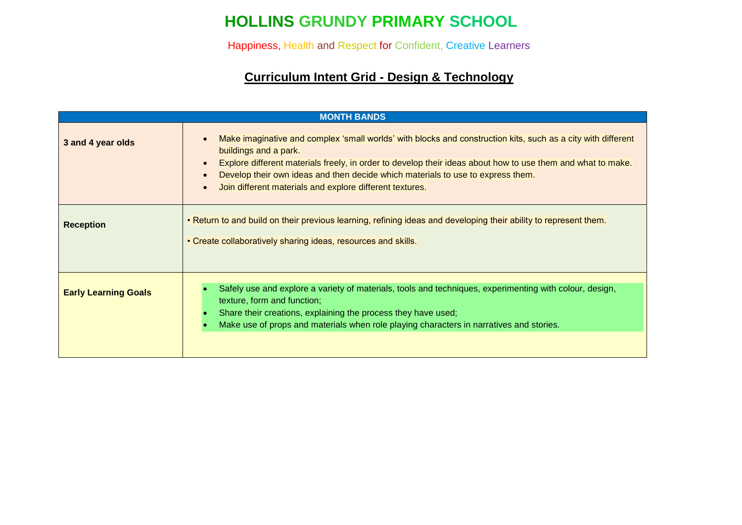# **HOLLINS GRUNDY PRIMARY SCHOOL**

Happiness, Health and Respect for Confident, Creative Learners

### **Curriculum Intent Grid - Design & Technology**

|                             | <b>MONTH BANDS</b>                                                                                                                                                                                                                                                                                                                                                                                                                                       |
|-----------------------------|----------------------------------------------------------------------------------------------------------------------------------------------------------------------------------------------------------------------------------------------------------------------------------------------------------------------------------------------------------------------------------------------------------------------------------------------------------|
| 3 and 4 year olds           | Make imaginative and complex 'small worlds' with blocks and construction kits, such as a city with different<br>$\bullet$<br>buildings and a park.<br>Explore different materials freely, in order to develop their ideas about how to use them and what to make.<br>$\bullet$<br>Develop their own ideas and then decide which materials to use to express them.<br>$\bullet$<br>Join different materials and explore different textures.<br>$\epsilon$ |
| <b>Reception</b>            | . Return to and build on their previous learning, refining ideas and developing their ability to represent them.<br>• Create collaboratively sharing ideas, resources and skills.                                                                                                                                                                                                                                                                        |
| <b>Early Learning Goals</b> | Safely use and explore a variety of materials, tools and techniques, experimenting with colour, design,<br>texture, form and function;<br>Share their creations, explaining the process they have used;<br>Make use of props and materials when role playing characters in narratives and stories.                                                                                                                                                       |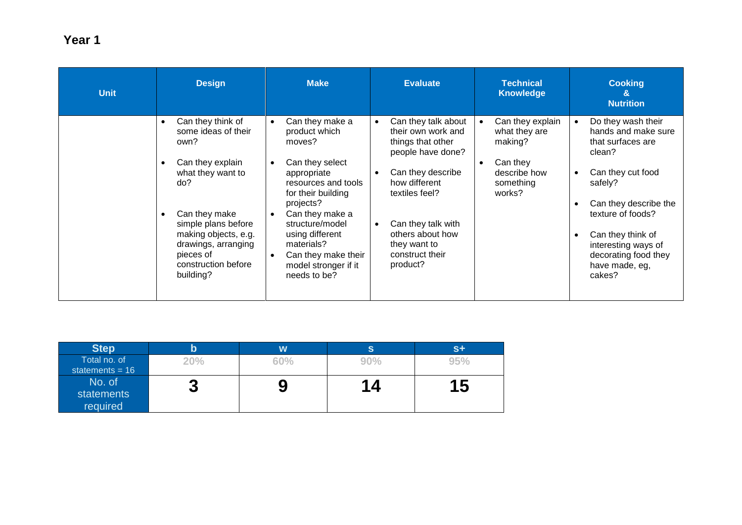| <b>Unit</b> | <b>Design</b>                                                                                                                                                                                                                                                                   | <b>Make</b>                                                                                                                                                                                                                                                                                                         | <b>Evaluate</b>                                                                                                                                                                                                                                                             | <b>Technical</b><br><b>Knowledge</b>                                                                                      | <b>Cooking</b><br>&<br><b>Nutrition</b>                                                                                                                                                                                                                |
|-------------|---------------------------------------------------------------------------------------------------------------------------------------------------------------------------------------------------------------------------------------------------------------------------------|---------------------------------------------------------------------------------------------------------------------------------------------------------------------------------------------------------------------------------------------------------------------------------------------------------------------|-----------------------------------------------------------------------------------------------------------------------------------------------------------------------------------------------------------------------------------------------------------------------------|---------------------------------------------------------------------------------------------------------------------------|--------------------------------------------------------------------------------------------------------------------------------------------------------------------------------------------------------------------------------------------------------|
|             | Can they think of<br>$\bullet$<br>some ideas of their<br>own?<br>Can they explain<br>$\bullet$<br>what they want to<br>do?<br>Can they make<br>$\bullet$<br>simple plans before<br>making objects, e.g.<br>drawings, arranging<br>pieces of<br>construction before<br>building? | Can they make a<br>$\bullet$<br>product which<br>moves?<br>Can they select<br>$\bullet$<br>appropriate<br>resources and tools<br>for their building<br>projects?<br>Can they make a<br>structure/model<br>using different<br>materials?<br>Can they make their<br>$\bullet$<br>model stronger if it<br>needs to be? | Can they talk about<br>$\bullet$<br>their own work and<br>things that other<br>people have done?<br>Can they describe<br>$\bullet$<br>how different<br>textiles feel?<br>Can they talk with<br>$\bullet$<br>others about how<br>they want to<br>construct their<br>product? | Can they explain<br>$\bullet$<br>what they are<br>making?<br>Can they<br>$\bullet$<br>describe how<br>something<br>works? | Do they wash their<br>hands and make sure<br>that surfaces are<br>clean?<br>Can they cut food<br>safely?<br>Can they describe the<br>texture of foods?<br>Can they think of<br>interesting ways of<br>decorating food they<br>have made, eg,<br>cakes? |

| <b>Step</b>       | b   | W   | S   | $S+$      |
|-------------------|-----|-----|-----|-----------|
| Total no. of      | 20% | 60% | 90% | 95%       |
| statements = $16$ |     |     |     |           |
| No. of            |     |     | 14  | <b>15</b> |
| statements        | W   | J   |     |           |
| required          |     |     |     |           |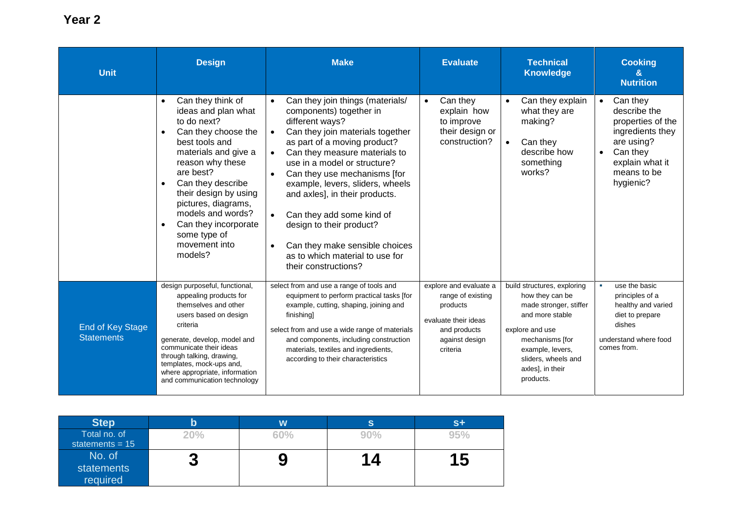| <b>Unit</b>                                  | <b>Design</b>                                                                                                                                                                                                                                                                                                                                                               | <b>Make</b>                                                                                                                                                                                                                                                                                                                                                                                                                                                                                                                                                   | <b>Evaluate</b>                                                                                                               | <b>Technical</b><br><b>Knowledge</b>                                                                                                                                                                          | <b>Cooking</b><br>$\mathbf{a}$<br><b>Nutrition</b>                                                                                                      |
|----------------------------------------------|-----------------------------------------------------------------------------------------------------------------------------------------------------------------------------------------------------------------------------------------------------------------------------------------------------------------------------------------------------------------------------|---------------------------------------------------------------------------------------------------------------------------------------------------------------------------------------------------------------------------------------------------------------------------------------------------------------------------------------------------------------------------------------------------------------------------------------------------------------------------------------------------------------------------------------------------------------|-------------------------------------------------------------------------------------------------------------------------------|---------------------------------------------------------------------------------------------------------------------------------------------------------------------------------------------------------------|---------------------------------------------------------------------------------------------------------------------------------------------------------|
|                                              | Can they think of<br>$\bullet$<br>ideas and plan what<br>to do next?<br>Can they choose the<br>$\bullet$<br>best tools and<br>materials and give a<br>reason why these<br>are best?<br>Can they describe<br>$\bullet$<br>their design by using<br>pictures, diagrams,<br>models and words?<br>Can they incorporate<br>$\bullet$<br>some type of<br>movement into<br>models? | Can they join things (materials/<br>$\bullet$<br>components) together in<br>different ways?<br>Can they join materials together<br>$\bullet$<br>as part of a moving product?<br>Can they measure materials to<br>$\bullet$<br>use in a model or structure?<br>Can they use mechanisms [for<br>$\bullet$<br>example, levers, sliders, wheels<br>and axles], in their products.<br>Can they add some kind of<br>$\bullet$<br>design to their product?<br>Can they make sensible choices<br>$\bullet$<br>as to which material to use for<br>their constructions? | Can they<br>$\bullet$<br>explain how<br>to improve<br>their design or<br>construction?                                        | Can they explain<br>$\bullet$<br>what they are<br>making?<br>Can they<br>$\bullet$<br>describe how<br>something<br>works?                                                                                     | Can they<br>$\bullet$<br>describe the<br>properties of the<br>ingredients they<br>are using?<br>Can they<br>explain what it<br>means to be<br>hygienic? |
| <b>End of Key Stage</b><br><b>Statements</b> | design purposeful, functional,<br>appealing products for<br>themselves and other<br>users based on design<br>criteria<br>generate, develop, model and<br>communicate their ideas<br>through talking, drawing,<br>templates, mock-ups and,<br>where appropriate, information<br>and communication technology                                                                 | select from and use a range of tools and<br>equipment to perform practical tasks [for<br>example, cutting, shaping, joining and<br>finishing<br>select from and use a wide range of materials<br>and components, including construction<br>materials, textiles and ingredients,<br>according to their characteristics                                                                                                                                                                                                                                         | explore and evaluate a<br>range of existing<br>products<br>evaluate their ideas<br>and products<br>against design<br>criteria | build structures, exploring<br>how they can be<br>made stronger, stiffer<br>and more stable<br>explore and use<br>mechanisms [for<br>example, levers,<br>sliders, wheels and<br>axles], in their<br>products. | use the basic<br>principles of a<br>healthy and varied<br>diet to prepare<br>dishes<br>understand where food<br>comes from.                             |

| <b>Step</b>       | b   | W   | S      | $S+$ |
|-------------------|-----|-----|--------|------|
| Total no. of      | 20% | 60% | $90\%$ | 95%  |
| statements = $15$ |     |     |        |      |
| No. of            |     |     | 14     | 1 5  |
| statements        | w   |     |        |      |
| required          |     |     |        |      |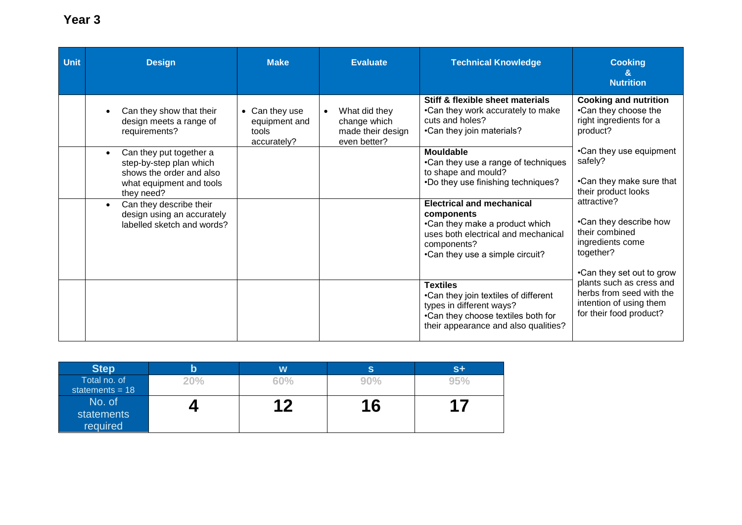#### **Unit Design Make Evaluate Technical Knowledge Cooking & Nutrition** • Can they show that their design meets a range of requirements? • Can they use equipment and tools accurately? What did they change which made their design even better? **Stiff & flexible sheet materials** •Can they work accurately to make cuts and holes? •Can they join materials? **Cooking and nutrition** •Can they choose the right ingredients for a product? •Can they use equipment safely? •Can they make sure that their product looks attractive? •Can they describe how their combined ingredients come together? •Can they set out to grow plants such as cress and herbs from seed with the intention of using them for their food product? • Can they put together a step-by-step plan which shows the order and also what equipment and tools they need? **Mouldable** •Can they use a range of techniques to shape and mould? •Do they use finishing techniques? • Can they describe their design using an accurately labelled sketch and words? **Electrical and mechanical components** •Can they make a product which uses both electrical and mechanical components? •Can they use a simple circuit? **Textiles**  •Can they join textiles of different types in different ways? •Can they choose textiles both for their appearance and also qualities?

| <b>Step</b>                       | b   | W   | S   | $S +$ |
|-----------------------------------|-----|-----|-----|-------|
| Total no. of<br>statements = $18$ | 20% | 60% | 90% | 95%   |
| No. of                            |     | 1 C |     |       |
| statements<br>required            |     |     | 16  | л     |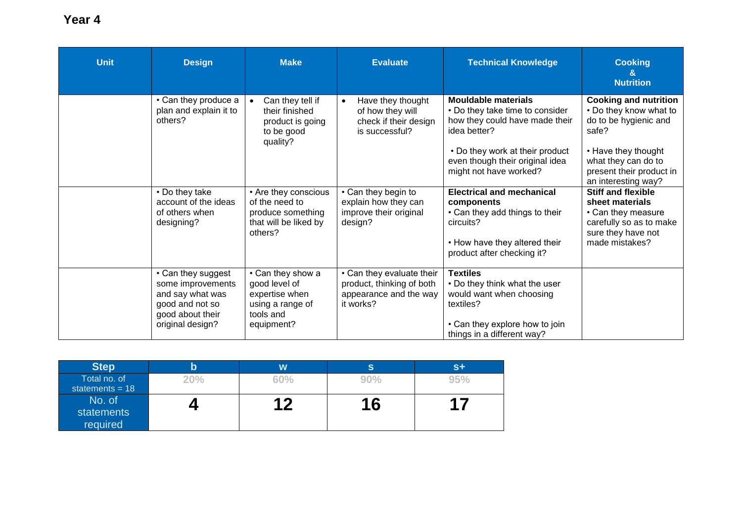| <b>Unit</b> | <b>Design</b>                                                                                                          | <b>Make</b>                                                                                         | <b>Evaluate</b>                                                                               | <b>Technical Knowledge</b>                                                                                                                                                                                      | <b>Cooking</b><br>&<br><b>Nutrition</b>                                                                                                                                                   |
|-------------|------------------------------------------------------------------------------------------------------------------------|-----------------------------------------------------------------------------------------------------|-----------------------------------------------------------------------------------------------|-----------------------------------------------------------------------------------------------------------------------------------------------------------------------------------------------------------------|-------------------------------------------------------------------------------------------------------------------------------------------------------------------------------------------|
|             | • Can they produce a<br>plan and explain it to<br>others?                                                              | Can they tell if<br>their finished<br>product is going<br>to be good<br>quality?                    | Have they thought<br>$\bullet$<br>of how they will<br>check if their design<br>is successful? | <b>Mouldable materials</b><br>• Do they take time to consider<br>how they could have made their<br>idea better?<br>• Do they work at their product<br>even though their original idea<br>might not have worked? | <b>Cooking and nutrition</b><br>• Do they know what to<br>do to be hygienic and<br>safe?<br>• Have they thought<br>what they can do to<br>present their product in<br>an interesting way? |
|             | • Do they take<br>account of the ideas<br>of others when<br>designing?                                                 | • Are they conscious<br>of the need to<br>produce something<br>that will be liked by<br>others?     | • Can they begin to<br>explain how they can<br>improve their original<br>design?              | <b>Electrical and mechanical</b><br>components<br>• Can they add things to their<br>circuits?<br>• How have they altered their<br>product after checking it?                                                    | <b>Stiff and flexible</b><br>sheet materials<br>• Can they measure<br>carefully so as to make<br>sure they have not<br>made mistakes?                                                     |
|             | • Can they suggest<br>some improvements<br>and say what was<br>good and not so<br>good about their<br>original design? | • Can they show a<br>good level of<br>expertise when<br>using a range of<br>tools and<br>equipment? | • Can they evaluate their<br>product, thinking of both<br>appearance and the way<br>it works? | <b>Textiles</b><br>• Do they think what the user<br>would want when choosing<br>textiles?<br>• Can they explore how to join<br>things in a different way?                                                       |                                                                                                                                                                                           |

| <b>Step</b>                       | b   | W   | S         | $S+$   |
|-----------------------------------|-----|-----|-----------|--------|
| Total no. of<br>statements = $18$ | 20% | 60% | 90%       | 95%    |
| No. of<br>statements<br>required  |     | 0   | <b>16</b> | $\sim$ |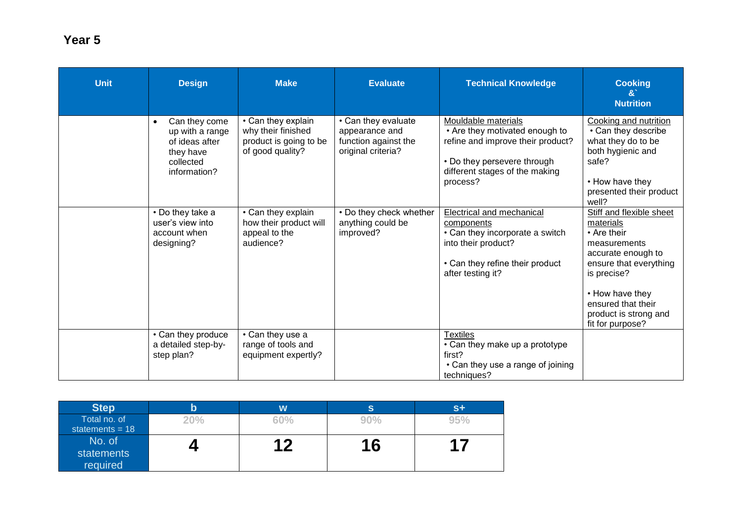| <b>Unit</b> | <b>Design</b>                                                                                             | <b>Make</b>                                                                            | <b>Evaluate</b>                                                                     | <b>Technical Knowledge</b>                                                                                                                                              | <b>Cooking</b><br>$\mathbf{g}$<br><b>Nutrition</b>                                                                                                                                                                        |
|-------------|-----------------------------------------------------------------------------------------------------------|----------------------------------------------------------------------------------------|-------------------------------------------------------------------------------------|-------------------------------------------------------------------------------------------------------------------------------------------------------------------------|---------------------------------------------------------------------------------------------------------------------------------------------------------------------------------------------------------------------------|
|             | Can they come<br>$\bullet$<br>up with a range<br>of ideas after<br>they have<br>collected<br>information? | • Can they explain<br>why their finished<br>product is going to be<br>of good quality? | • Can they evaluate<br>appearance and<br>function against the<br>original criteria? | Mouldable materials<br>• Are they motivated enough to<br>refine and improve their product?<br>• Do they persevere through<br>different stages of the making<br>process? | Cooking and nutrition<br>• Can they describe<br>what they do to be<br>both hygienic and<br>safe?<br>• How have they<br>presented their product<br>well?                                                                   |
|             | • Do they take a<br>user's view into<br>account when<br>designing?                                        | • Can they explain<br>how their product will<br>appeal to the<br>audience?             | • Do they check whether<br>anything could be<br>improved?                           | Electrical and mechanical<br>components<br>• Can they incorporate a switch<br>into their product?<br>• Can they refine their product<br>after testing it?               | Stiff and flexible sheet<br>materials<br>• Are their<br>measurements<br>accurate enough to<br>ensure that everything<br>is precise?<br>• How have they<br>ensured that their<br>product is strong and<br>fit for purpose? |
|             | • Can they produce<br>a detailed step-by-<br>step plan?                                                   | • Can they use a<br>range of tools and<br>equipment expertly?                          |                                                                                     | <b>Textiles</b><br>• Can they make up a prototype<br>first?<br>• Can they use a range of joining<br>techniques?                                                         |                                                                                                                                                                                                                           |

| <b>Step</b>       |       | W           | S   |     |
|-------------------|-------|-------------|-----|-----|
| Total no. of      | $0\%$ | 60%         | 90% | 95% |
| statements = $18$ |       |             |     |     |
| No. of            |       | $\mathbf 1$ | 16  | п   |
| statements        |       |             |     |     |
| required          |       |             |     |     |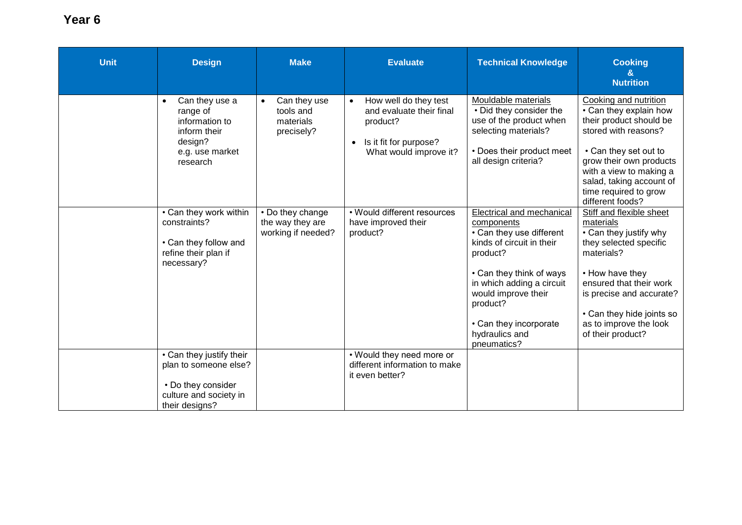| <b>Unit</b> | <b>Design</b>                                                                                                                                                                                                   | <b>Make</b>                                                                                                                     | <b>Evaluate</b>                                                                                                                                                                                  | <b>Technical Knowledge</b>                                                                                                                                                                                                                                                                                                             | <b>Cooking</b><br>&<br><b>Nutrition</b>                                                                                                                                                                                                                                                                                                                                                                             |
|-------------|-----------------------------------------------------------------------------------------------------------------------------------------------------------------------------------------------------------------|---------------------------------------------------------------------------------------------------------------------------------|--------------------------------------------------------------------------------------------------------------------------------------------------------------------------------------------------|----------------------------------------------------------------------------------------------------------------------------------------------------------------------------------------------------------------------------------------------------------------------------------------------------------------------------------------|---------------------------------------------------------------------------------------------------------------------------------------------------------------------------------------------------------------------------------------------------------------------------------------------------------------------------------------------------------------------------------------------------------------------|
|             | Can they use a<br>range of<br>information to<br>inform their<br>design?<br>e.g. use market<br>research<br>• Can they work within<br>constraints?<br>• Can they follow and<br>refine their plan if<br>necessary? | Can they use<br>$\bullet$<br>tools and<br>materials<br>precisely?<br>• Do they change<br>the way they are<br>working if needed? | How well do they test<br>and evaluate their final<br>product?<br>Is it fit for purpose?<br>$\bullet$<br>What would improve it?<br>• Would different resources<br>have improved their<br>product? | Mouldable materials<br>• Did they consider the<br>use of the product when<br>selecting materials?<br>• Does their product meet<br>all design criteria?<br><b>Electrical and mechanical</b><br>components<br>• Can they use different<br>kinds of circuit in their<br>product?<br>• Can they think of ways<br>in which adding a circuit | Cooking and nutrition<br>• Can they explain how<br>their product should be<br>stored with reasons?<br>• Can they set out to<br>grow their own products<br>with a view to making a<br>salad, taking account of<br>time required to grow<br>different foods?<br>Stiff and flexible sheet<br>materials<br>• Can they justify why<br>they selected specific<br>materials?<br>• How have they<br>ensured that their work |
|             | • Can they justify their<br>plan to someone else?                                                                                                                                                               |                                                                                                                                 | • Would they need more or<br>different information to make<br>it even better?                                                                                                                    | would improve their<br>product?<br>• Can they incorporate<br>hydraulics and<br>pneumatics?                                                                                                                                                                                                                                             | is precise and accurate?<br>• Can they hide joints so<br>as to improve the look<br>of their product?                                                                                                                                                                                                                                                                                                                |
|             | • Do they consider<br>culture and society in<br>their designs?                                                                                                                                                  |                                                                                                                                 |                                                                                                                                                                                                  |                                                                                                                                                                                                                                                                                                                                        |                                                                                                                                                                                                                                                                                                                                                                                                                     |